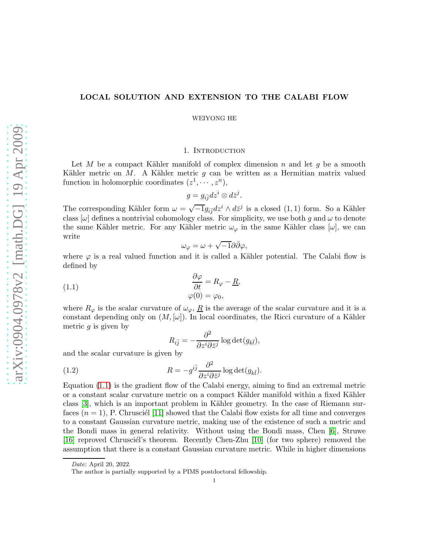## LOCAL SOLUTION AND EXTENSION TO THE CALABI FLOW

WEIYONG HE

### 1. INTRODUCTION

Let M be a compact Kähler manifold of complex dimension n and let q be a smooth Kähler metric on  $M$ . A Kähler metric  $g$  can be written as a Hermitian matrix valued function in holomorphic coordinates  $(z^1, \dots, z^n)$ ,

$$
g = g_{i\bar{j}} dz^i \otimes d\bar{z}^j.
$$

The corresponding Kähler form  $\omega = \sqrt{-1}g_{i\bar{j}}dz^i \wedge d\bar{z}^j$  is a closed  $(1,1)$  form. So a Kähler class  $[\omega]$  defines a nontrivial cohomology class. For simplicity, we use both g and  $\omega$  to denote the same Kähler metric. For any Kähler metric  $\omega_{\varphi}$  in the same Kähler class  $[\omega]$ , we can write

$$
\omega_{\varphi} = \omega + \sqrt{-1}\partial\bar{\partial}\varphi,
$$

where  $\varphi$  is a real valued function and it is called a Kähler potential. The Calabi flow is defined by

<span id="page-0-0"></span>(1.1) 
$$
\begin{aligned}\n\frac{\partial \varphi}{\partial t} &= R_{\varphi} - \underline{R}, \\
\varphi(0) &= \varphi_0,\n\end{aligned}
$$

where  $R_{\varphi}$  is the scalar curvature of  $\omega_{\varphi}$ ,  $\underline{R}$  is the average of the scalar curvature and it is a constant depending only on  $(M, [\omega])$ . In local coordinates, the Ricci curvature of a Kähler metric  $q$  is given by

<span id="page-0-1"></span>
$$
R_{i\bar{j}} = -\frac{\partial^2}{\partial z^i \partial \bar{z}^j} \log \det(g_{k\bar{l}}),
$$

and the scalar curvature is given by

(1.2) 
$$
R = -g^{i\bar{j}} \frac{\partial^2}{\partial z^i \partial \bar{z}^j} \log \det(g_{k\bar{l}}).
$$

Equation [\(1.1\)](#page-0-0) is the gradient flow of the Calabi energy, aiming to find an extremal metric or a constant scalar curvature metric on a compact Kähler manifold within a fixed Kähler class [\[3\]](#page-10-0), which is an important problem in Kähler geometry. In the case of Riemann surfaces  $(n = 1)$ , P. Chrusciél [\[11\]](#page-10-1) showed that the Calabi flow exists for all time and converges to a constant Gaussian curvature metric, making use of the existence of such a metric and the Bondi mass in general relativity. Without using the Bondi mass, Chen [\[6\]](#page-10-2), Struwe [\[16\]](#page-10-3) reproved Chrusciel's theorem. Recently Chen-Zhu [\[10\]](#page-10-4) (for two sphere) removed the assumption that there is a constant Gaussian curvature metric. While in higher dimensions

Date: April 20, 2022.

The author is partially supported by a PIMS postdoctoral fellowship.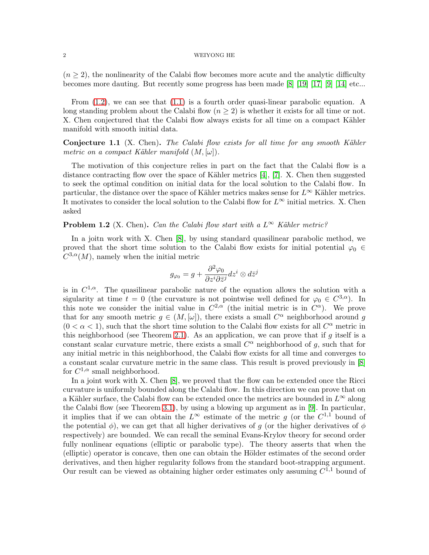$(n \geq 2)$ , the nonlinearity of the Calabi flow becomes more acute and the analytic difficulty becomes more dauting. But recently some progress has been made [\[8\]](#page-10-5) [\[19\]](#page-10-6) [\[17\]](#page-10-7) [\[9\]](#page-10-8) [\[14\]](#page-10-9) etc...

From [\(1.2\)](#page-0-1), we can see that [\(1.1\)](#page-0-0) is a fourth order quasi-linear parabolic equation. A long standing problem about the Calabi flow  $(n \geq 2)$  is whether it exists for all time or not. X. Chen conjectured that the Calabi flow always exists for all time on a compact Kähler manifold with smooth initial data.

**Conjecture 1.1** (X. Chen). The Calabi flow exists for all time for any smooth Kähler metric on a compact Kähler manifold  $(M, [\omega])$ .

The motivation of this conjecture relies in part on the fact that the Calabi flow is a distance contracting flow over the space of Kähler metrics  $[4]$ ,  $[7]$ . X. Chen then suggested to seek the optimal condition on initial data for the local solution to the Calabi flow. In particular, the distance over the space of Kähler metrics makes sense for  $L^{\infty}$  Kähler metrics. It motivates to consider the local solution to the Calabi flow for  $L^{\infty}$  initial metrics. X. Chen asked

**Problem 1.2** (X. Chen). Can the Calabi flow start with a  $L^{\infty}$  Kähler metric?

In a joitn work with X. Chen [\[8\]](#page-10-5), by using standard quasilinear parabolic method, we proved that the short time solution to the Calabi flow exists for initial potential  $\varphi_0 \in$  $C^{3,\alpha}(M)$ , namely when the initial metric

$$
g_{\varphi_0} = g + \frac{\partial^2 \varphi_0}{\partial z^i \partial \bar{z}^j} dz^i \otimes d\bar{z}^j
$$

is in  $C^{1,\alpha}$ . The quasilinear parabolic nature of the equation allows the solution with a sigularity at time  $t = 0$  (the curvature is not pointwise well defined for  $\varphi_0 \in C^{3,\alpha}$ ). In this note we consider the initial value in  $C^{2,\alpha}$  (the initial metric is in  $C^{\alpha}$ ). We prove that for any smooth metric  $g \in (M, [\omega])$ , there exists a small  $C^{\alpha}$  neighborhood around g  $(0 < \alpha < 1)$ , such that the short time solution to the Calabi flow exists for all  $C^{\alpha}$  metric in this neighborhood (see Theorem [2.1\)](#page-3-0). As an application, we can prove that if  $g$  itself is a constant scalar curvature metric, there exists a small  $C^{\alpha}$  neighborhood of g, such that for any initial metric in this neighborhood, the Calabi flow exists for all time and converges to a constant scalar curvature metric in the same class. This result is proved previously in [\[8\]](#page-10-5) for  $C^{1,\alpha}$  small neighborhood.

In a joint work with X. Chen [\[8\]](#page-10-5), we proved that the flow can be extended once the Ricci curvature is uniformly bounded along the Calabi flow. In this direction we can prove that on a Kähler surface, the Calabi flow can be extended once the metrics are bounded in  $L^{\infty}$  along the Calabi flow (see Theorem [3.1\)](#page-8-0), by using a blowing up argument as in [\[9\]](#page-10-8). In particular, it implies that if we can obtain the  $L^{\infty}$  estimate of the metric g (or the  $C^{1,1}$  bound of the potential  $\phi$ ), we can get that all higher derivatives of g (or the higher derivatives of  $\phi$ respectively) are bounded. We can recall the seminal Evans-Krylov theory for second order fully nonlinear equations (elliptic or parabolic type). The theory asserts that when the (elliptic) operator is concave, then one can obtain the Hölder estimates of the second order derivatives, and then higher regularity follows from the standard boot-strapping argument. Our result can be viewed as obtaining higher order estimates only assuming  $C^{1,1}$  bound of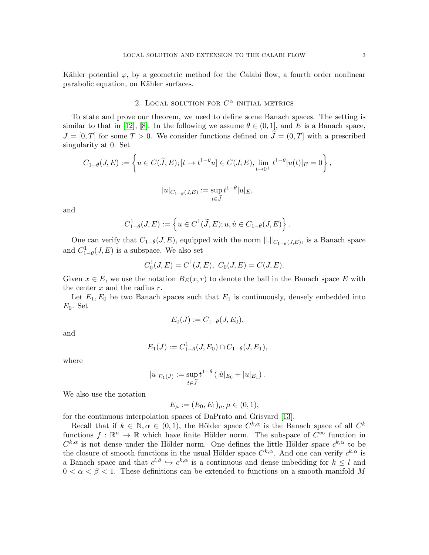Kähler potential  $\varphi$ , by a geometric method for the Calabi flow, a fourth order nonlinear parabolic equation, on Kähler surfaces.

# 2. LOCAL SOLUTION FOR  $C^{\alpha}$  initial metrics

To state and prove our theorem, we need to define some Banach spaces. The setting is similar to that in [\[12\]](#page-10-12), [\[8\]](#page-10-5). In the following we assume  $\theta \in (0,1]$ , and E is a Banach space,  $J = [0, T]$  for some  $T > 0$ . We consider functions defined on  $\widetilde{J} = (0, T]$  with a prescribed singularity at 0. Set

$$
C_{1-\theta}(J, E) := \left\{ u \in C(\widetilde{J}, E); [t \to t^{1-\theta}u] \in C(J, E), \lim_{t \to 0^+} t^{1-\theta} |u(t)|_E = 0 \right\},\,
$$

$$
|u|_{C_{1-\theta}(J,E)} := \sup_{t \in \widetilde{J}} t^{1-\theta} |u|_E,
$$

and

$$
C_{1-\theta}^1(J,E):=\left\{u\in C^1(\widetilde{J},E); u,\dot{u}\in C_{1-\theta}(J,E)\right\}
$$

One can verify that  $C_{1-\theta}(J, E)$ , equipped with the norm  $\|.\|_{C_{1-\theta}(J, E)}$ , is a Banach space and  $C_{1-\theta}^1(J, E)$  is a subspace. We also set

.

$$
C_0^1(J, E) = C^1(J, E), C_0(J, E) = C(J, E).
$$

Given  $x \in E$ , we use the notation  $B_E(x, r)$  to denote the ball in the Banach space E with the center  $x$  and the radius  $r$ .

Let  $E_1, E_0$  be two Banach spaces such that  $E_1$  is continuously, densely embedded into  $E_0$ . Set

$$
E_0(J) := C_{1-\theta}(J, E_0),
$$

and

$$
E_1(J) := C_{1-\theta}^1(J, E_0) \cap C_{1-\theta}(J, E_1),
$$

where

$$
|u|_{E_1(J)} := \sup_{t \in \widetilde{J}} t^{1-\theta} (| \dot{u} |_{E_0} + |u|_{E_1}).
$$

We also use the notation

$$
E_{\mu} := (E_0, E_1)_{\mu}, \mu \in (0, 1),
$$

for the continuous interpolation spaces of DaPrato and Grisvard [\[13\]](#page-10-13).

Recall that if  $k \in \mathbb{N}, \alpha \in (0, 1)$ , the Hölder space  $C^{k, \alpha}$  is the Banach space of all  $C^k$ functions  $f : \mathbb{R}^n \to \mathbb{R}$  which have finite Hölder norm. The subspace of  $C^{\infty}$  function in  $C^{k,\alpha}$  is not dense under the Hölder norm. One defines the little Hölder space  $c^{k,\alpha}$  to be the closure of smooth functions in the usual Hölder space  $C^{k,\alpha}$ . And one can verify  $c^{k,\alpha}$  is a Banach space and that  $c^{l,\beta} \hookrightarrow c^{k,\alpha}$  is a continuous and dense imbedding for  $k \leq l$  and  $0 < \alpha < \beta < 1$ . These definitions can be extended to functions on a smooth manifold M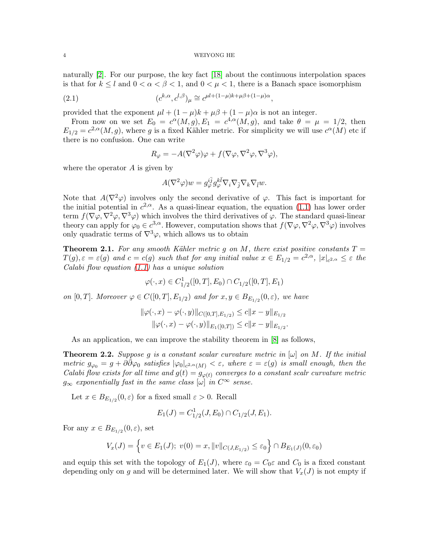naturally [\[2\]](#page-10-14). For our purpose, the key fact [\[18\]](#page-10-15) about the continuous interpolation spaces is that for  $k \leq l$  and  $0 < \alpha < \beta < 1$ , and  $0 < \mu < 1$ , there is a Banach space isomorphism

(2.1) 
$$
(c^{k,\alpha}, c^{l,\beta})_{\mu} \cong c^{\mu l + (1-\mu)k + \mu \beta + (1-\mu)\alpha},
$$

provided that the exponent  $\mu l + (1 - \mu)k + \mu \beta + (1 - \mu)\alpha$  is not an integer.

From now on we set  $E_0 = c^{\alpha}(M,g), E_1 = c^{4,\alpha}(M,g),$  and take  $\theta = \mu = 1/2$ , then  $E_{1/2} = c^{2,\alpha}(M,g)$ , where g is a fixed Kähler metric. For simplicity we will use  $c^{\alpha}(M)$  etc if there is no confusion. One can write

$$
R_{\varphi} = -A(\nabla^2 \varphi)\varphi + f(\nabla \varphi, \nabla^2 \varphi, \nabla^3 \varphi),
$$

where the operator A is given by

$$
A(\nabla^2 \varphi)w = g_{\varphi}^{i\bar{j}} g_{\varphi}^{k\bar{l}} \nabla_i \nabla_{\bar{j}} \nabla_k \nabla_{\bar{l}} w.
$$

Note that  $A(\nabla^2 \varphi)$  involves only the second derivative of  $\varphi$ . This fact is important for the initial potential in  $c^{2,\alpha}$ . As a quasi-linear equation, the equation [\(1.1\)](#page-0-0) has lower order term  $f(\nabla\varphi,\nabla^2\varphi,\nabla^3\varphi)$  which involves the third derivatives of  $\varphi$ . The standard quasi-linear theory can apply for  $\varphi_0 \in c^{3,\alpha}$ . However, computation shows that  $f(\nabla \varphi, \nabla^2 \varphi, \nabla^3 \varphi)$  involves only quadratic terms of  $\nabla^3 \varphi$ , which allows us to obtain

<span id="page-3-0"></span>**Theorem 2.1.** For any smooth Kähler metric g on M, there exist positive constants  $T =$  $T(g), \varepsilon = \varepsilon(g)$  and  $c = c(g)$  such that for any initial value  $x \in E_{1/2} = c^{2,\alpha}, |x|_{c^{2,\alpha}} \leq \varepsilon$  the Calabi flow equation [\(1.1\)](#page-0-0) has a unique solution

$$
\varphi(\cdot, x) \in C_{1/2}^1([0, T], E_0) \cap C_{1/2}([0, T], E_1)
$$

on  $[0, T]$ . Moreover  $\varphi \in C([0, T], E_{1/2})$  and for  $x, y \in B_{E_{1/2}}(0, \varepsilon)$ , we have

$$
\|\varphi(\cdot,x) - \varphi(\cdot,y)\|_{C([0,T],E_{1/2})} \le c \|x - y\|_{E_{1/2}}
$$
  

$$
\|\varphi(\cdot,x) - \varphi(\cdot,y)\|_{E_1([0,T])} \le c \|x - y\|_{E_{1/2}}.
$$

As an application, we can improve the stability theorem in [\[8\]](#page-10-5) as follows,

<span id="page-3-1"></span>**Theorem 2.2.** Suppose g is a constant scalar curvature metric in  $[\omega]$  on M. If the initial metric  $g_{\varphi_0} = g + \partial \bar{\partial} \varphi_0$  satisfies  $|\varphi_0|_{c^{2,\alpha}(M)} < \varepsilon$ , where  $\varepsilon = \varepsilon(g)$  is small enough, then the Calabi flow exists for all time and  $g(t) = g_{\varphi(t)}$  converges to a constant scalr curvature metric  $g_{\infty}$  exponentially fast in the same class  $[\omega]$  in  $C^{\infty}$  sense.

Let  $x \in B_{E_{1/2}}(0, \varepsilon)$  for a fixed small  $\varepsilon > 0$ . Recall

$$
E_1(J) = C_{1/2}^1(J, E_0) \cap C_{1/2}(J, E_1).
$$

For any  $x \in B_{E_{1/2}}(0, \varepsilon)$ , set

$$
V_x(J) = \left\{ v \in E_1(J); \ v(0) = x, ||v||_{C(J,E_{1/2})} \le \varepsilon_0 \right\} \cap B_{E_1(J)}(0,\varepsilon_0)
$$

and equip this set with the topology of  $E_1(J)$ , where  $\varepsilon_0 = C_0 \varepsilon$  and  $C_0$  is a fixed constant depending only on g and will be determined later. We will show that  $V_x(J)$  is not empty if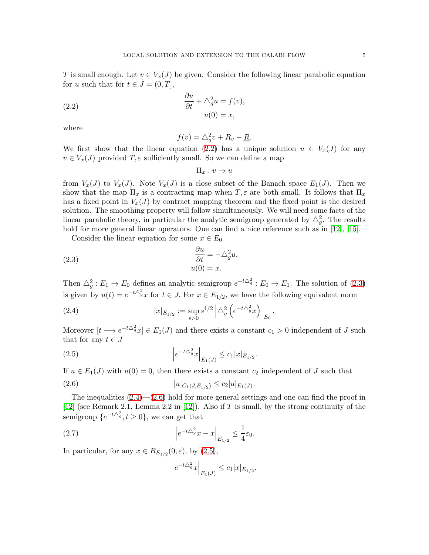T is small enough. Let  $v \in V_x(J)$  be given. Consider the following linear parabolic equation for u such that for  $t \in \tilde{J} = (0, T]$ ,

<span id="page-4-0"></span>(2.2) 
$$
\frac{\partial u}{\partial t} + \triangle_g^2 u = f(v),
$$

$$
u(0) = x,
$$

where

$$
f(v) = \triangle_g^2 v + R_v - \underline{R}.
$$

We first show that the linear equation [\(2.2\)](#page-4-0) has a unique solution  $u \in V_x(J)$  for any  $v \in V_x(J)$  provided  $T, \varepsilon$  sufficiently small. So we can define a map

$$
\Pi_x : v \to u
$$

from  $V_x(J)$  to  $V_x(J)$ . Note  $V_x(J)$  is a close subset of the Banach space  $E_1(J)$ . Then we show that the map  $\Pi_x$  is a contracting map when  $T, \varepsilon$  are both small. It follows that  $\Pi_x$ has a fixed point in  $V_x(J)$  by contract mapping theorem and the fixed point is the desired solution. The smoothing property will follow simultaneously. We will need some facts of the linear parabolic theory, in particular the analytic semigroup generated by  $\triangle_g^2$ . The results hold for more general linear operators. One can find a nice reference such as in [\[12\]](#page-10-12), [\[15\]](#page-10-16).

Consider the linear equation for some  $x \in E_0$ 

<span id="page-4-1"></span>(2.3) 
$$
\begin{aligned}\n\frac{\partial u}{\partial t} &= -\triangle_g^2 u, \\
u(0) &= x.\n\end{aligned}
$$

Then  $\triangle^2_g : E_1 \to E_0$  defines an analytic semigroup  $e^{-t\triangle^2_g} : E_0 \to E_1$ . The solution of [\(2.3\)](#page-4-1) is given by  $u(t) = e^{-t\Delta_g^2}x$  for  $t \in J$ . For  $x \in E_{1/2}$ , we have the following equivalent norm

<span id="page-4-2"></span>(2.4) 
$$
|x|_{E_{1/2}} := \sup_{s>0} s^{1/2} \left| \Delta_g^2 \left( e^{-t \Delta_g^2} x \right) \right|_{E_0}.
$$

Moreover  $[t \mapsto e^{-t\Delta_g^2}x] \in E_1(J)$  and there exists a constant  $c_1 > 0$  independent of J such that for any  $t \in J$ 

<span id="page-4-4"></span>(2.5) 
$$
\left| e^{-t\Delta_g^2} x \right|_{E_1(J)} \leq c_1 |x|_{E_{1/2}}.
$$

If  $u \in E_1(J)$  with  $u(0) = 0$ , then there exists a constant  $c_2$  independent of J such that

$$
(2.6) \t\t |u|_{C_1(J,E_{1/2})} \leq c_2 |u|_{E_1(J)}.
$$

The inequalities  $(2.4)$ — $(2.6)$  hold for more general settings and one can find the proof in [\[12\]](#page-10-12) (see Remark 2.1, Lemma 2.2 in [\[12\]](#page-10-12)). Also if T is small, by the strong continuity of the semigroup  $\{e^{-t\Delta_g^2}, t \ge 0\}$ , we can get that

(2.7) 
$$
\left|e^{-t\Delta_g^2}x - x\right|_{E_{1/2}} \leq \frac{1}{4}\varepsilon_0.
$$

In particular, for any  $x \in B_{E_{1/2}}(0,\varepsilon)$ , by  $(2.5)$ ,

<span id="page-4-5"></span><span id="page-4-3"></span>
$$
\left|e^{-t\triangle_g^2}x\right|_{E_1(J)} \leq c_1|x|_{E_{1/2}}.
$$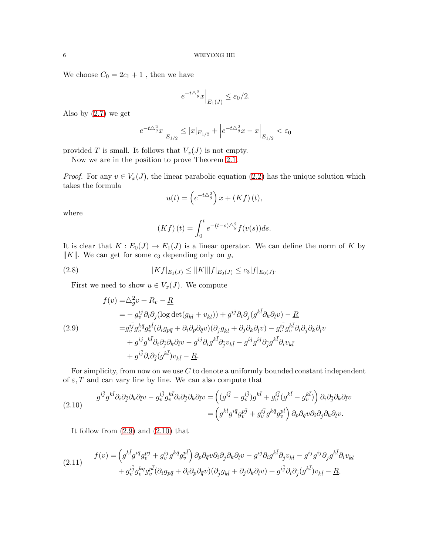We choose  $C_0 = 2c_1 + 1$ , then we have

$$
\left|e^{-t\Delta_g^2}x\right|_{E_1(J)} \le \varepsilon_0/2.
$$

Also by  $(2.7)$  we get

$$
\Big|e^{-t\triangle^2_g}x\Big|_{E_{1/2}}\leq |x|_{E_{1/2}}+\Big|e^{-t\triangle^2_g}x-x\Big|_{E_{1/2}}<\varepsilon_0
$$

provided T is small. It follows that  $V_x(J)$  is not empty.

Now we are in the position to prove Theorem [2.1.](#page-3-0)

*Proof.* For any  $v \in V_x(J)$ , the linear parabolic equation [\(2.2\)](#page-4-0) has the unique solution which takes the formula

$$
u(t) = \left(e^{-t\triangle_g^2}\right)x + \left(Kf\right)(t),
$$

where

<span id="page-5-3"></span>
$$
(Kf)(t) = \int_0^t e^{-(t-s)\Delta_g^2} f(v(s))ds.
$$

It is clear that  $K : E_0(J) \to E_1(J)$  is a linear operator. We can define the norm of K by  $||K||$ . We can get for some  $c_3$  depending only on g,

(2.8) 
$$
|Kf|_{E_1(J)} \leq ||K|| |f|_{E_0(J)} \leq c_3 |f|_{E_0(J)}.
$$

First we need to show  $u \in V_x(J)$ . We compute

<span id="page-5-0"></span>(2.9)  
\n
$$
f(v) = \triangle_g^2 v + R_v - \underline{R}
$$
\n
$$
= -g_v^{i\bar{j}} \partial_i \partial_{\bar{j}} (\log \det(g_{k\bar{l}} + v_{k\bar{l}})) + g^{i\bar{j}} \partial_i \partial_{\bar{j}} (g^{k\bar{l}} \partial_k \partial_{\bar{l}} v) - \underline{R}
$$
\n
$$
= g_v^{i\bar{j}} g_v^{k\bar{q}} g_v^{p\bar{l}} (\partial_i g_{p\bar{q}} + \partial_i \partial_p \partial_{\bar{q}} v) (\partial_{\bar{j}} g_{k\bar{l}} + \partial_j \partial_k \partial_{\bar{l}} v) - g_v^{i\bar{j}} g_v^{k\bar{l}} \partial_i \partial_{\bar{j}} \partial_k \partial_{\bar{l}} v
$$
\n
$$
+ g^{i\bar{j}} g^{k\bar{l}} \partial_i \partial_{\bar{j}} \partial_k \partial_{\bar{l}} v - g^{i\bar{j}} \partial_i g^{k\bar{l}} \partial_{\bar{j}} v_{k\bar{l}} - g^{i\bar{j}} g^{i\bar{j}} g_{\bar{j}} g^{k\bar{l}} \partial_i v_{k\bar{l}}
$$
\n
$$
+ g^{i\bar{j}} \partial_i \partial_{\bar{j}} (g^{k\bar{l}}) v_{k\bar{l}} - \underline{R}.
$$

For simplicity, from now on we use  $C$  to denote a uniformly bounded constant independent of  $\varepsilon$ , T and can vary line by line. We can also compute that

<span id="page-5-1"></span>(2.10) 
$$
g^{i\bar{j}}g^{k\bar{l}}\partial_{i}\partial_{\bar{j}}\partial_{k}\partial_{\bar{l}}v - g^{i\bar{j}}_{v}g^{k\bar{l}}_{v}\partial_{i}\partial_{\bar{j}}\partial_{k}\partial_{\bar{l}}v = \left( (g^{i\bar{j}} - g^{i\bar{j}}_{v})g^{k\bar{l}} + g^{i\bar{j}}_{v}(g^{k\bar{l}} - g^{k\bar{l}}_{v}) \right) \partial_{i}\partial_{\bar{j}}\partial_{k}\partial_{\bar{l}}v = \left( g^{k\bar{l}}g^{i\bar{q}}g^{p\bar{j}}_{v} + g^{i\bar{j}}_{v}g^{k\bar{q}}g^{p\bar{l}}_{v} \right) \partial_{p}\partial_{\bar{q}}v\partial_{i}\partial_{\bar{j}}\partial_{k}\partial_{\bar{l}}v.
$$

It follow from  $(2.9)$  and  $(2.10)$  that

<span id="page-5-2"></span>(2.11) 
$$
f(v) = \left(g^{k\bar{l}}g^{i\bar{q}}g^{p\bar{j}}_v + g^{i\bar{j}}_v g^{k\bar{q}}g^{p\bar{l}}_v\right)\partial_p\partial_{\bar{q}}v\partial_i\partial_{\bar{j}}\partial_k\partial_{\bar{l}}v - g^{i\bar{j}}\partial_i g^{k\bar{l}}\partial_{\bar{j}}v_{k\bar{l}} - g^{i\bar{j}}g^{i\bar{j}}g^{i\bar{j}}\partial_{\bar{j}}g^{k\bar{l}}\partial_i v_{k\bar{l}} + g^{i\bar{j}}_v g^{k\bar{q}}g^{p\bar{l}}_v(\partial_i g_{p\bar{q}} + \partial_i \partial_p \partial_{\bar{q}}v)(\partial_{\bar{j}}g_{k\bar{l}} + \partial_j \partial_k \partial_{\bar{l}}v) + g^{i\bar{j}}\partial_i \partial_{\bar{j}}(g^{k\bar{l}})v_{k\bar{l}} - \underline{R}.
$$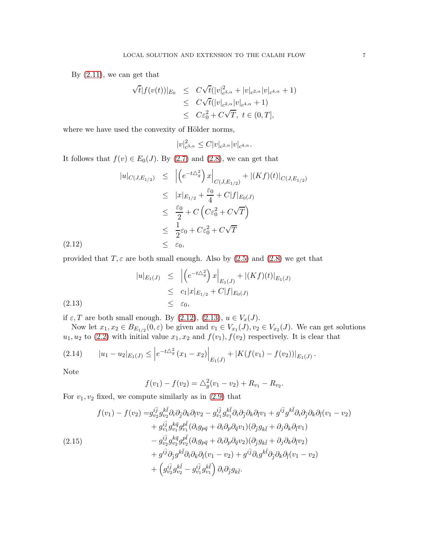By  $(2.11)$ , we can get that

$$
\sqrt{t}|f(v(t))|_{E_0} \leq C\sqrt{t}(|v|_{c^{3,\alpha}}^2 + |v|_{c^{2,\alpha}}|v|_{c^{4,\alpha}} + 1) \leq C\sqrt{t}(|v|_{c^{2,\alpha}}|v|_{c^{4,\alpha}} + 1) \leq C\varepsilon_0^2 + C\sqrt{T}, t \in (0, T],
$$

where we have used the convexity of Hölder norms,

$$
|v|_{c^{3,\alpha}}^2 \leq C|v|_{c^{2,\alpha}}|v|_{c^{4,\alpha}}.
$$

It follows that  $f(v) \in E_0(J)$ . By [\(2.7\)](#page-4-5) and [\(2.8\)](#page-5-3), we can get that

<span id="page-6-0"></span>
$$
|u|_{C(J,E_{1/2})} \leq |(e^{-t\Delta_g^2})x|_{C(J,E_{1/2})} + |(Kf)(t)|_{C(J,E_{1/2})}
$$
  
\n
$$
\leq |x|_{E_{1/2}} + \frac{\varepsilon_0}{4} + C|f|_{E_0(J)}
$$
  
\n
$$
\leq \frac{\varepsilon_0}{2} + C (C\varepsilon_0^2 + C\sqrt{T})
$$
  
\n
$$
\leq \frac{1}{2}\varepsilon_0 + C\varepsilon_0^2 + C\sqrt{T}
$$
  
\n
$$
\leq \varepsilon_0,
$$

provided that  $T, \varepsilon$  are both small enough. Also by [\(2.5\)](#page-4-4) and [\(2.8\)](#page-5-3) we get that

<span id="page-6-1"></span>
$$
|u|_{E_1(J)} \leq | \left( e^{-t\Delta_g^2} \right) x \Big|_{E_1(J)} + |(Kf)(t)|_{E_1(J)}
$$
  
\n
$$
\leq c_1 |x|_{E_{1/2}} + C|f|_{E_0(J)}
$$
  
\n
$$
\leq \varepsilon_0,
$$

if  $\varepsilon$ , T are both small enough. By [\(2.12\)](#page-6-0), [\(2.13\)](#page-6-1),  $u \in V_x(J)$ .

Now let  $x_1, x_2 \in B_{E_{1/2}}(0, \varepsilon)$  be given and  $v_1 \in V_{x_1}(J), v_2 \in V_{x_2}(J)$ . We can get solutions  $u_1, u_2$  to [\(2.2\)](#page-4-0) with initial value  $x_1, x_2$  and  $f(v_1), f(v_2)$  respectively. It is clear that

<span id="page-6-3"></span>
$$
(2.14) \t |u_1 - u_2|_{E_1(J)} \leq \left| e^{-t\Delta_g^2} (x_1 - x_2) \right|_{E_1(J)} + \left| K(f(v_1) - f(v_2)) \right|_{E_1(J)}.
$$

Note

 $(2.12)$ 

$$
f(v_1) - f(v_2) = \Delta_g^2(v_1 - v_2) + R_{v_1} - R_{v_2}.
$$

For  $v_1, v_2$  fixed, we compute similarly as in  $(2.9)$  that

<span id="page-6-2"></span>
$$
f(v_1) - f(v_2) = g_{v_2}^{i\bar{j}} g_{v_2}^{k\bar{l}} \partial_i \partial_{\bar{j}} \partial_k \partial_{\bar{l}} v_2 - g_{v_1}^{i\bar{j}} g_{v_1}^{k\bar{l}} \partial_i \partial_{\bar{j}} \partial_k \partial_{\bar{l}} v_1 + g^{i\bar{j}} g^{k\bar{l}} \partial_i \partial_{\bar{j}} \partial_k \partial_{\bar{l}} (v_1 - v_2) + g_{v_1}^{i\bar{j}} g_{v_1}^{k\bar{q}} g_{v_1}^{p\bar{l}} (\partial_i g_{p\bar{q}} + \partial_i \partial_p \partial_{\bar{q}} v_1) (\partial_{\bar{j}} g_{k\bar{l}} + \partial_j \partial_k \partial_{\bar{l}} v_1) - g_{v_2}^{i\bar{j}} g_{v_2}^{k\bar{q}} g_{v_2}^{p\bar{l}} (\partial_i g_{p\bar{q}} + \partial_i \partial_p \partial_{\bar{q}} v_2) (\partial_{\bar{j}} g_{k\bar{l}} + \partial_j \partial_k \partial_{\bar{l}} v_2) + g^{i\bar{j}} \partial_{\bar{j}} g^{k\bar{l}} \partial_i \partial_k \partial_{\bar{l}} (v_1 - v_2) + g^{i\bar{j}} \partial_i g^{k\bar{l}} \partial_{\bar{j}} \partial_k \partial_{\bar{l}} (v_1 - v_2) + \left( g_{v_2}^{i\bar{j}} g_{v_2}^{k\bar{l}} - g_{v_1}^{i\bar{j}} g_{v_1}^{k\bar{l}} \right) \partial_i \partial_{\bar{j}} g_{k\bar{l}}.
$$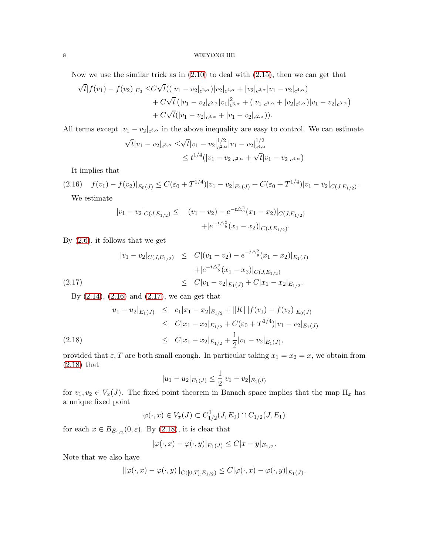Now we use the similar trick as in [\(2.10\)](#page-5-1) to deal with [\(2.15\)](#page-6-2), then we can get that

$$
\sqrt{t}|f(v_1) - f(v_2)|_{E_0} \le C\sqrt{t}((|v_1 - v_2|_{c^{2,\alpha}})|v_2|_{c^{4,\alpha}} + |v_2|_{c^{2,\alpha}}|v_1 - v_2|_{c^{4,\alpha}})+ C\sqrt{t}(|v_1 - v_2|_{c^{2,\alpha}}|v_1|_{c^{3,\alpha}}^2 + (|v_1|_{c^{3,\alpha}} + |v_2|_{c^{3,\alpha}})|v_1 - v_2|_{c^{3,\alpha}})+ C\sqrt{t}(|v_1 - v_2|_{c^{3,\alpha}} + |v_1 - v_2|_{c^{2,\alpha}})).
$$

All terms except  $|v_1 - v_2|_{c^{3,\alpha}}$  in the above inequality are easy to control. We can estimate

$$
\sqrt{t}|v_1 - v_2|_{c^{3,\alpha}} \le \sqrt{t}|v_1 - v_2|_{c^{2,\alpha}}^{1/2}|v_1 - v_2|_{c^{4,\alpha}}^{1/2}
$$
  

$$
\le t^{1/4}(|v_1 - v_2|_{c^{2,\alpha}} + \sqrt{t}|v_1 - v_2|_{c^{4,\alpha}})
$$

<span id="page-7-0"></span>It implies that

$$
(2.16) \quad |f(v_1) - f(v_2)|_{E_0(J)} \le C(\varepsilon_0 + T^{1/4})|v_1 - v_2|_{E_1(J)} + C(\varepsilon_0 + T^{1/4})|v_1 - v_2|_{C(J, E_{1/2})}.
$$
  
We estimate

<span id="page-7-1"></span>
$$
|v_1 - v_2|_{C(J, E_{1/2})} \le |(v_1 - v_2) - e^{-t\Delta_g^2}(x_1 - x_2)|_{C(J, E_{1/2})} + |e^{-t\Delta_g^2}(x_1 - x_2)|_{C(J, E_{1/2})}.
$$

By [\(2.6\)](#page-4-3), it follows that we get

$$
|v_1 - v_2|_{C(J, E_{1/2})} \leq C |(v_1 - v_2) - e^{-t\Delta_g^2} (x_1 - x_2)|_{E_1(J)}
$$
  
 
$$
+ |e^{-t\Delta_g^2} (x_1 - x_2)|_{C(J, E_{1/2})}
$$
  
 
$$
\leq C |v_1 - v_2|_{E_1(J)} + C |x_1 - x_2|_{E_{1/2}}.
$$

<span id="page-7-2"></span>By [\(2.14\)](#page-6-3), [\(2.16\)](#page-7-0) and [\(2.17\)](#page-7-1), we can get that

$$
|u_1 - u_2|_{E_1(J)} \leq c_1 |x_1 - x_2|_{E_{1/2}} + ||K|| |f(v_1) - f(v_2)|_{E_0(J)}
$$
  
\n
$$
\leq C |x_1 - x_2|_{E_{1/2}} + C(\varepsilon_0 + T^{1/4}) |v_1 - v_2|_{E_1(J)}
$$
  
\n
$$
\leq C |x_1 - x_2|_{E_{1/2}} + \frac{1}{2} |v_1 - v_2|_{E_1(J)},
$$

provided that  $\varepsilon$ , T are both small enough. In particular taking  $x_1 = x_2 = x$ , we obtain from [\(2.18\)](#page-7-2) that

$$
|u_1 - u_2|_{E_1(J)} \le \frac{1}{2}|v_1 - v_2|_{E_1(J)}
$$

for  $v_1, v_2 \in V_x(J)$ . The fixed point theorem in Banach space implies that the map  $\Pi_x$  has a unique fixed point

$$
\varphi(\cdot, x) \in V_x(J) \subset C^1_{1/2}(J, E_0) \cap C_{1/2}(J, E_1)
$$

for each  $x \in B_{E_{1/2}}(0, \varepsilon)$ . By [\(2.18\)](#page-7-2), it is clear that

$$
|\varphi(\cdot,x)-\varphi(\cdot,y)|_{E_1(J)}\leq C|x-y|_{E_{1/2}}.
$$

Note that we also have

$$
\|\varphi(\cdot,x)-\varphi(\cdot,y)\|_{C([0,T],E_{1/2})}\leq C|\varphi(\cdot,x)-\varphi(\cdot,y)|_{E_1(J)}.
$$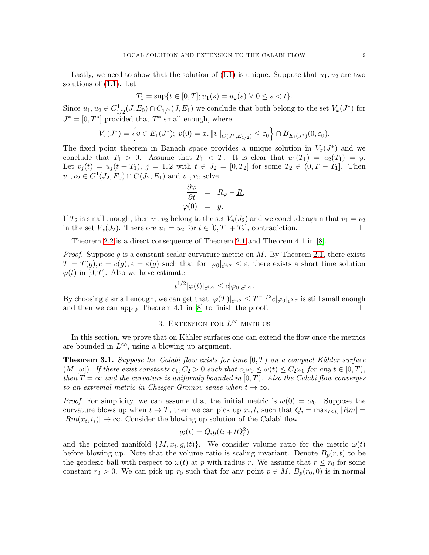Lastly, we need to show that the solution of  $(1.1)$  is unique. Suppose that  $u_1, u_2$  are two solutions of [\(1.1\)](#page-0-0). Let

$$
T_1 = \sup\{t \in [0, T]; u_1(s) = u_2(s) \,\forall\ 0 \le s < t\}.
$$

Since  $u_1, u_2 \in C_{1/2}^1(J, E_0) \cap C_{1/2}(J, E_1)$  we conclude that both belong to the set  $V_x(J^*)$  for  $J^*=[0,T^*]$  provided that  $T^*$  small enough, where

$$
V_x(J^*) = \left\{ v \in E_1(J^*); \ v(0) = x, ||v||_{C(J^*, E_{1/2})} \le \varepsilon_0 \right\} \cap B_{E_1(J^*)}(0, \varepsilon_0).
$$

The fixed point theorem in Banach space provides a unique solution in  $V_x(J^*)$  and we conclude that  $T_1 > 0$ . Assume that  $T_1 < T$ . It is clear that  $u_1(T_1) = u_2(T_1) = y$ . Let  $v_j(t) = u_j(t + T_1)$ ,  $j = 1, 2$  with  $t \in J_2 = [0, T_2]$  for some  $T_2 \in (0, T - T_1]$ . Then  $v_1, v_2 \in C^1(J_2, E_0) \cap C(J_2, E_1)$  and  $v_1, v_2$  solve

$$
\begin{array}{rcl}\n\frac{\partial \varphi}{\partial t} & = & R_{\varphi} - \underline{R}, \\
\varphi(0) & = & y.\n\end{array}
$$

If  $T_2$  is small enough, then  $v_1, v_2$  belong to the set  $V_y(J_2)$  and we conclude again that  $v_1 = v_2$ in the set  $V_x(J_2)$ . Therefore  $u_1 = u_2$  for  $t \in [0, T_1 + T_2]$ , contradiction.

Theorem [2.2](#page-3-1) is a direct consequence of Theorem [2.1](#page-3-0) and Theorem 4.1 in [\[8\]](#page-10-5).

*Proof.* Suppose g is a constant scalar curvature metric on  $M$ . By Theorem [2.1,](#page-3-0) there exists  $T = T(g), c = c(g), \varepsilon = \varepsilon(g)$  such that for  $|\varphi_0|_{c^{2,\alpha}} \leq \varepsilon$ , there exists a short time solution  $\varphi(t)$  in [0, T]. Also we have estimate

$$
t^{1/2}|\varphi(t)|_{c^{4,\alpha}} \leq c|\varphi_0|_{c^{2,\alpha}}.
$$

By choosing  $\varepsilon$  small enough, we can get that  $|\varphi(T)|_{c^{4,\alpha}} \leq T^{-1/2}c|\varphi_0|_{c^{2,\alpha}}$  is still small enough and then we can apply Theorem 4.1 in  $[8]$  to finish the proof.  $\square$ 

# 3. EXTENSION FOR  $L^{\infty}$  metrics

In this section, we prove that on Kähler surfaces one can extend the flow once the metrics are bounded in  $L^{\infty}$ , using a blowing up argument.

<span id="page-8-0"></span>**Theorem 3.1.** Suppose the Calabi flow exists for time  $[0, T)$  on a compact Kähler surface  $(M, [\omega])$ . If there exist constants  $c_1, C_2 > 0$  such that  $c_1\omega_0 \leq \omega(t) \leq C_2\omega_0$  for any  $t \in [0, T)$ , then  $T = \infty$  and the curvature is uniformly bounded in [0, T]. Also the Calabi flow converges to an extremal metric in Cheeger-Gromov sense when  $t \to \infty$ .

*Proof.* For simplicity, we can assume that the initial metric is  $\omega(0) = \omega_0$ . Suppose the curvature blows up when  $t \to T$ , then we can pick up  $x_i, t_i$  such that  $Q_i = \max_{t \leq t_i} |Rm| =$  $|Rm(x_i, t_i)| \to \infty$ . Consider the blowing up solution of the Calabi flow

$$
g_i(t) = Q_i g(t_i + t Q_i^2)
$$

and the pointed manifold  $\{M, x_i, g_i(t)\}$ . We consider volume ratio for the metric  $\omega(t)$ before blowing up. Note that the volume ratio is scaling invariant. Denote  $B_p(r,t)$  to be the geodesic ball with respect to  $\omega(t)$  at p with radius r. We assume that  $r \leq r_0$  for some constant  $r_0 > 0$ . We can pick up  $r_0$  such that for any point  $p \in M$ ,  $B_p(r_0, 0)$  is in normal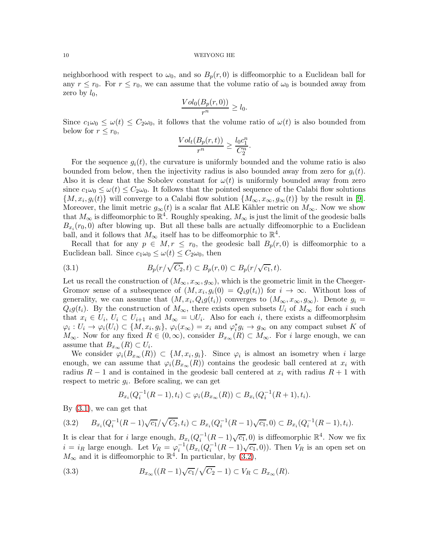neighborhood with respect to  $\omega_0$ , and so  $B_p(r, 0)$  is diffeomorphic to a Euclidean ball for any  $r \leq r_0$ . For  $r \leq r_0$ , we can assume that the volume ratio of  $\omega_0$  is bounded away from zero by  $l_0$ ,

$$
\frac{Vol_0(B_p(r,0))}{r^n} \ge l_0.
$$

Since  $c_1\omega_0 \leq \omega(t) \leq C_2\omega_0$ , it follows that the volume ratio of  $\omega(t)$  is also bounded from below for  $r \leq r_0$ ,

$$
\frac{Vol_t(B_p(r,t))}{r^n} \ge \frac{l_0c_1^n}{C_2^n}.
$$

For the sequence  $q_i(t)$ , the curvature is uniformly bounded and the volume ratio is also bounded from below, then the injectivity radius is also bounded away from zero for  $q_i(t)$ . Also it is clear that the Sobolev constant for  $\omega(t)$  is uniformly bounded away from zero since  $c_1\omega_0 \leq \omega(t) \leq C_2\omega_0$ . It follows that the pointed sequence of the Calabi flow solutions  $\{M, x_i, g_i(t)\}\$  will converge to a Calabi flow solution  $\{M_\infty, x_\infty, g_\infty(t)\}\$  by the result in [\[9\]](#page-10-8). Moreover, the limit metric  $g_{\infty}(t)$  is a scalar flat ALE Kähler metric on  $M_{\infty}$ . Now we show that  $M_{\infty}$  is diffeomorphic to  $\mathbb{R}^4$ . Roughly speaking,  $M_{\infty}$  is just the limit of the geodesic balls  $B_{x_i}(r_0,0)$  after blowing up. But all these balls are actually diffeomorphic to a Euclidean ball, and it follows that  $M_{\infty}$  itself has to be diffeomorphic to  $\mathbb{R}^4$ .

Recall that for any  $p \in M, r \leq r_0$ , the geodesic ball  $B_p(r, 0)$  is diffeomorphic to a Euclidean ball. Since  $c_1\omega_0 \leq \omega(t) \leq C_2\omega_0$ , then

<span id="page-9-0"></span>(3.1) 
$$
B_p(r/\sqrt{C_2}, t) \subset B_p(r, 0) \subset B_p(r/\sqrt{c_1}, t).
$$

Let us recall the construction of  $(M_{\infty}, x_{\infty}, g_{\infty})$ , which is the geometric limit in the Cheeger-Gromov sense of a subsequence of  $(M, x_i, g_i(0) = Q_i g(t_i))$  for  $i \to \infty$ . Without loss of generality, we can assume that  $(M, x_i, Q_i g(t_i))$  converges to  $(M_\infty, x_\infty, g_\infty)$ . Denote  $g_i =$  $Q_i g(t_i)$ . By the construction of  $M_{\infty}$ , there exists open subsets  $U_i$  of  $M_{\infty}$  for each i such that  $x_i \in U_i$ ,  $U_i \subset U_{i+1}$  and  $M_{\infty} = \bigcup U_i$ . Also for each i, there exists a diffeomorphsim  $\varphi_i: U_i \to \varphi_i(U_i) \subset \{M, x_i, g_i\}, \varphi_i(x_\infty) = x_i \text{ and } \varphi_i^* g_i \to g_\infty \text{ on any compact subset } K \text{ of } i$  $M_{\infty}$ . Now for any fixed  $R \in (0,\infty)$ , consider  $B_{x_{\infty}}(R) \subset M_{\infty}$ . For i large enough, we can assume that  $B_{x_\infty}(R) \subset U_i$ .

We consider  $\varphi_i(B_{x_\infty}(R)) \subset \{M, x_i, g_i\}$ . Since  $\varphi_i$  is almost an isometry when i large enough, we can assume that  $\varphi_i(B_{x_\infty}(R))$  contains the geodesic ball centered at  $x_i$  with radius  $R-1$  and is contained in the geodesic ball centered at  $x_i$  with radius  $R+1$  with respect to metric  $g_i$ . Before scaling, we can get

$$
B_{x_i}(Q_i^{-1}(R-1), t_i) \subset \varphi_i(B_{x_{\infty}}(R)) \subset B_{x_i}(Q_i^{-1}(R+1), t_i).
$$

By [\(3.1\)](#page-9-0), we can get that

<span id="page-9-1"></span>
$$
(3.2) \qquad B_{x_i}(Q_i^{-1}(R-1)\sqrt{c_1})\sqrt{C_2}, t_i) \subset B_{x_i}(Q_i^{-1}(R-1)\sqrt{c_1}, 0) \subset B_{x_i}(Q_i^{-1}(R-1), t_i).
$$

It is clear that for i large enough,  $B_{x_i}(Q_i^{-1}(R-1)\sqrt{c_1},0)$  is diffeomorphic  $\mathbb{R}^4$ . Now we fix  $i = i_R$  large enough. Let  $V_R = \varphi_i^{-1}(B_{x_i}(Q_i^{-1}(R-1)\sqrt{c_1},0))$ . Then  $V_R$  is an open set on  $M_{\infty}$  and it is diffeomorphic to  $\mathbb{R}^{4}$ . In particular, by [\(3.2\)](#page-9-1),

<span id="page-9-2"></span>(3.3) 
$$
B_{x_{\infty}}((R-1)\sqrt{c_1}/\sqrt{C_2}-1) \subset V_R \subset B_{x_{\infty}}(R).
$$